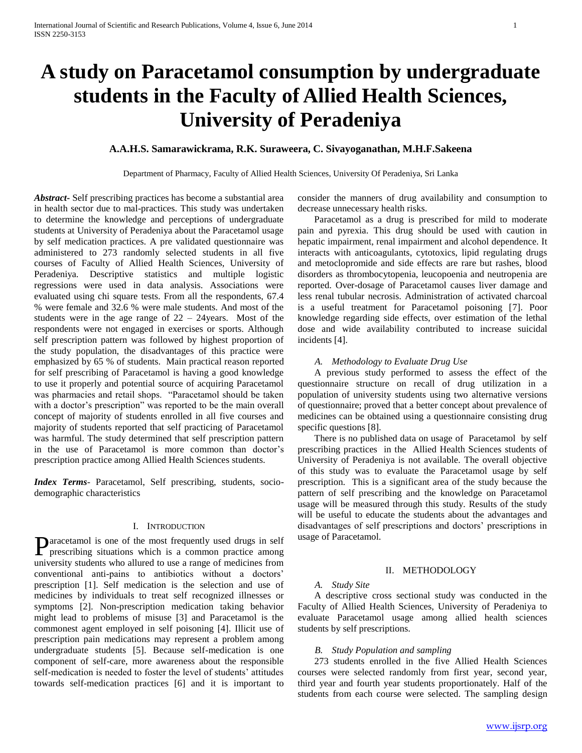# **A study on Paracetamol consumption by undergraduate students in the Faculty of Allied Health Sciences, University of Peradeniya**

# **A.A.H.S. Samarawickrama, R.K. Suraweera, C. Sivayoganathan, M.H.F.Sakeena**

Department of Pharmacy, Faculty of Allied Health Sciences, University Of Peradeniya, Sri Lanka

*Abstract***-** Self prescribing practices has become a substantial area in health sector due to mal-practices. This study was undertaken to determine the knowledge and perceptions of undergraduate students at University of Peradeniya about the Paracetamol usage by self medication practices. A pre validated questionnaire was administered to 273 randomly selected students in all five courses of Faculty of Allied Health Sciences, University of Peradeniya. Descriptive statistics and multiple logistic regressions were used in data analysis. Associations were evaluated using chi square tests. From all the respondents, 67.4 % were female and 32.6 % were male students. And most of the students were in the age range of 22 – 24years. Most of the respondents were not engaged in exercises or sports. Although self prescription pattern was followed by highest proportion of the study population, the disadvantages of this practice were emphasized by 65 % of students. Main practical reason reported for self prescribing of Paracetamol is having a good knowledge to use it properly and potential source of acquiring Paracetamol was pharmacies and retail shops. "Paracetamol should be taken with a doctor's prescription" was reported to be the main overall concept of majority of students enrolled in all five courses and majority of students reported that self practicing of Paracetamol was harmful. The study determined that self prescription pattern in the use of Paracetamol is more common than doctor's prescription practice among Allied Health Sciences students.

*Index Terms*- Paracetamol, Self prescribing, students, sociodemographic characteristics

## I. INTRODUCTION

aracetamol is one of the most frequently used drugs in self **Paracetamol is one of the most frequently used drugs in self** prescribing situations which is a common practice among university students who allured to use a range of medicines from conventional anti-pains to antibiotics without a doctors' prescription [1]. Self medication is the selection and use of medicines by individuals to treat self recognized illnesses or symptoms [2]. Non-prescription medication taking behavior might lead to problems of misuse [3] and Paracetamol is the commonest agent employed in self poisoning [4]. Illicit use of prescription pain medications may represent a problem among undergraduate students [5]. Because self-medication is one component of self-care, more awareness about the responsible self-medication is needed to foster the level of students' attitudes towards self-medication practices [6] and it is important to

consider the manners of drug availability and consumption to decrease unnecessary health risks.

 Paracetamol as a drug is prescribed for mild to moderate pain and pyrexia. This drug should be used with caution in hepatic impairment, renal impairment and alcohol dependence. It interacts with anticoagulants, cytotoxics, lipid regulating drugs and metoclopromide and side effects are rare but rashes, blood disorders as thrombocytopenia, leucopoenia and neutropenia are reported. Over-dosage of Paracetamol causes liver damage and less renal tubular necrosis. Administration of activated charcoal is a useful treatment for Paracetamol poisoning [7]. Poor knowledge regarding side effects, over estimation of the lethal dose and wide availability contributed to increase suicidal incidents [4].

## *A. Methodology to Evaluate Drug Use*

 A previous study performed to assess the effect of the questionnaire structure on recall of drug utilization in a population of university students using two alternative versions of questionnaire; proved that a better concept about prevalence of medicines can be obtained using a questionnaire consisting drug specific questions [8].

 There is no published data on usage of Paracetamol by self prescribing practices in the Allied Health Sciences students of University of Peradeniya is not available. The overall objective of this study was to evaluate the Paracetamol usage by self prescription. This is a significant area of the study because the pattern of self prescribing and the knowledge on Paracetamol usage will be measured through this study. Results of the study will be useful to educate the students about the advantages and disadvantages of self prescriptions and doctors' prescriptions in usage of Paracetamol.

## II. METHODOLOGY

## *A. Study Site*

 A descriptive cross sectional study was conducted in the Faculty of Allied Health Sciences, University of Peradeniya to evaluate Paracetamol usage among allied health sciences students by self prescriptions.

#### *B. Study Population and sampling*

 273 students enrolled in the five Allied Health Sciences courses were selected randomly from first year, second year, third year and fourth year students proportionately. Half of the students from each course were selected. The sampling design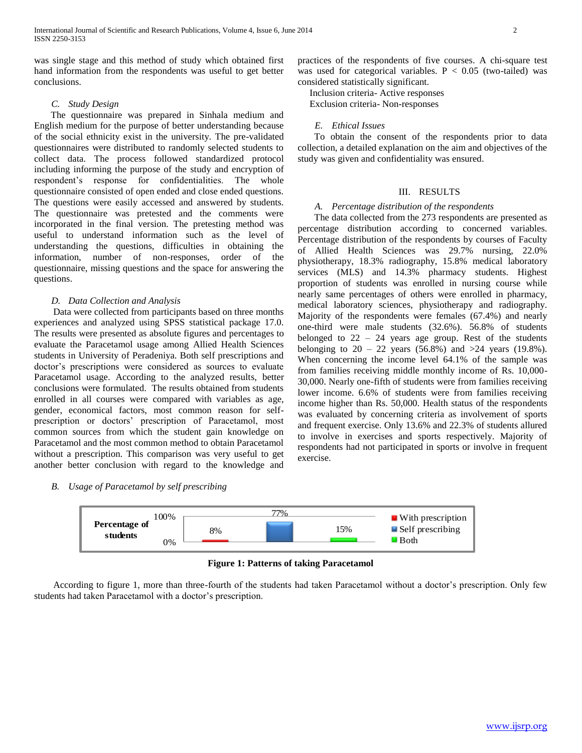was single stage and this method of study which obtained first hand information from the respondents was useful to get better conclusions.

## *C. Study Design*

 The questionnaire was prepared in Sinhala medium and English medium for the purpose of better understanding because of the social ethnicity exist in the university. The pre-validated questionnaires were distributed to randomly selected students to collect data. The process followed standardized protocol including informing the purpose of the study and encryption of respondent's response for confidentialities. The whole questionnaire consisted of open ended and close ended questions. The questions were easily accessed and answered by students. The questionnaire was pretested and the comments were incorporated in the final version. The pretesting method was useful to understand information such as the level of understanding the questions, difficulties in obtaining the information, number of non-responses, order of the questionnaire, missing questions and the space for answering the questions.

## *D. Data Collection and Analysis*

 Data were collected from participants based on three months experiences and analyzed using SPSS statistical package 17.0. The results were presented as absolute figures and percentages to evaluate the Paracetamol usage among Allied Health Sciences students in University of Peradeniya. Both self prescriptions and doctor's prescriptions were considered as sources to evaluate Paracetamol usage. According to the analyzed results, better conclusions were formulated. The results obtained from students enrolled in all courses were compared with variables as age, gender, economical factors, most common reason for selfprescription or doctors' prescription of Paracetamol, most common sources from which the student gain knowledge on Paracetamol and the most common method to obtain Paracetamol without a prescription. This comparison was very useful to get another better conclusion with regard to the knowledge and practices of the respondents of five courses. A chi-square test was used for categorical variables.  $P < 0.05$  (two-tailed) was considered statistically significant.

 Inclusion criteria- Active responses Exclusion criteria- Non-responses

## *E. Ethical Issues*

 To obtain the consent of the respondents prior to data collection, a detailed explanation on the aim and objectives of the study was given and confidentiality was ensured.

## III. RESULTS

## *A. Percentage distribution of the respondents*

 The data collected from the 273 respondents are presented as percentage distribution according to concerned variables. Percentage distribution of the respondents by courses of Faculty of Allied Health Sciences was 29.7% nursing, 22.0% physiotherapy, 18.3% radiography, 15.8% medical laboratory services (MLS) and 14.3% pharmacy students. Highest proportion of students was enrolled in nursing course while nearly same percentages of others were enrolled in pharmacy, medical laboratory sciences, physiotherapy and radiography. Majority of the respondents were females (67.4%) and nearly one-third were male students (32.6%). 56.8% of students belonged to 22 – 24 years age group. Rest of the students belonging to  $20 - 22$  years (56.8%) and  $>24$  years (19.8%). When concerning the income level 64.1% of the sample was from families receiving middle monthly income of Rs. 10,000- 30,000. Nearly one-fifth of students were from families receiving lower income. 6.6% of students were from families receiving income higher than Rs. 50,000. Health status of the respondents was evaluated by concerning criteria as involvement of sports and frequent exercise. Only 13.6% and 22.3% of students allured to involve in exercises and sports respectively. Majority of respondents had not participated in sports or involve in frequent exercise.

# *B. Usage of Paracetamol by self prescribing*



**Figure 1: Patterns of taking Paracetamol**

 According to figure 1, more than three-fourth of the students had taken Paracetamol without a doctor's prescription. Only few students had taken Paracetamol with a doctor's prescription.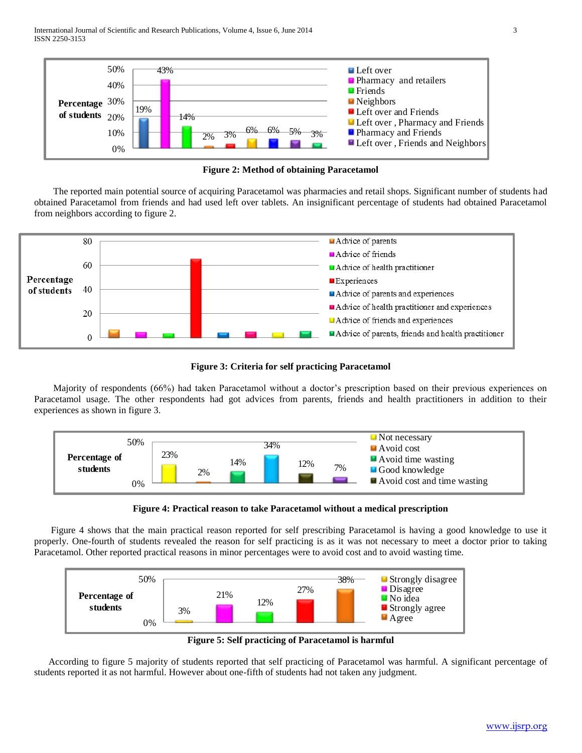

**Figure 2: Method of obtaining Paracetamol**

 The reported main potential source of acquiring Paracetamol was pharmacies and retail shops. Significant number of students had obtained Paracetamol from friends and had used left over tablets. An insignificant percentage of students had obtained Paracetamol from neighbors according to figure 2.



**Figure 3: Criteria for self practicing Paracetamol**

 Majority of respondents (66%) had taken Paracetamol without a doctor's prescription based on their previous experiences on Paracetamol usage. The other respondents had got advices from parents, friends and health practitioners in addition to their experiences as shown in figure 3.



**Figure 4: Practical reason to take Paracetamol without a medical prescription**

 Figure 4 shows that the main practical reason reported for self prescribing Paracetamol is having a good knowledge to use it properly. One-fourth of students revealed the reason for self practicing is as it was not necessary to meet a doctor prior to taking Paracetamol. Other reported practical reasons in minor percentages were to avoid cost and to avoid wasting time.



**Figure 5: Self practicing of Paracetamol is harmful**

 According to figure 5 majority of students reported that self practicing of Paracetamol was harmful. A significant percentage of students reported it as not harmful. However about one-fifth of students had not taken any judgment.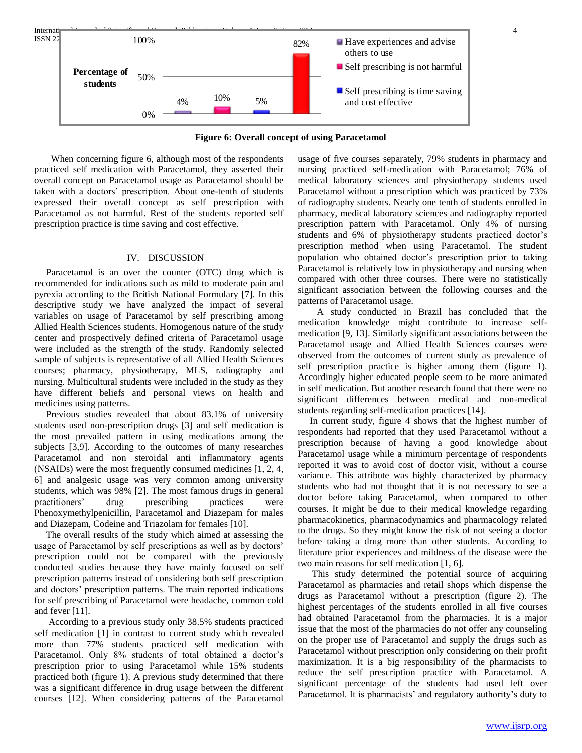

**Figure 6: Overall concept of using Paracetamol**

 When concerning figure 6, although most of the respondents practiced self medication with Paracetamol, they asserted their overall concept on Paracetamol usage as Paracetamol should be taken with a doctors' prescription. About one-tenth of students expressed their overall concept as self prescription with Paracetamol as not harmful. Rest of the students reported self prescription practice is time saving and cost effective.

### IV. DISCUSSION

 Paracetamol is an over the counter (OTC) drug which is recommended for indications such as mild to moderate pain and pyrexia according to the British National Formulary [7]. In this descriptive study we have analyzed the impact of several variables on usage of Paracetamol by self prescribing among Allied Health Sciences students. Homogenous nature of the study center and prospectively defined criteria of Paracetamol usage were included as the strength of the study. Randomly selected sample of subjects is representative of all Allied Health Sciences courses; pharmacy, physiotherapy, MLS, radiography and nursing. Multicultural students were included in the study as they have different beliefs and personal views on health and medicines using patterns.

 Previous studies revealed that about 83.1% of university students used non-prescription drugs [3] and self medication is the most prevailed pattern in using medications among the subjects [3,9]. According to the outcomes of many researches Paracetamol and non steroidal anti inflammatory agents (NSAIDs) were the most frequently consumed medicines [1, 2, 4, 6] and analgesic usage was very common among university students, which was 98% [2]. The most famous drugs in general practitioners' drug prescribing practices were Phenoxymethylpenicillin, Paracetamol and Diazepam for males and Diazepam, Codeine and Triazolam for females [10].

 The overall results of the study which aimed at assessing the usage of Paracetamol by self prescriptions as well as by doctors' prescription could not be compared with the previously conducted studies because they have mainly focused on self prescription patterns instead of considering both self prescription and doctors' prescription patterns. The main reported indications for self prescribing of Paracetamol were headache, common cold and fever [11].

 According to a previous study only 38.5% students practiced self medication [1] in contrast to current study which revealed more than 77% students practiced self medication with Paracetamol. Only 8% students of total obtained a doctor's prescription prior to using Paracetamol while 15% students practiced both (figure 1). A previous study determined that there was a significant difference in drug usage between the different courses [12]. When considering patterns of the Paracetamol

usage of five courses separately, 79% students in pharmacy and nursing practiced self-medication with Paracetamol; 76% of medical laboratory sciences and physiotherapy students used Paracetamol without a prescription which was practiced by 73% of radiography students. Nearly one tenth of students enrolled in pharmacy, medical laboratory sciences and radiography reported prescription pattern with Paracetamol. Only 4% of nursing students and 6% of physiotherapy students practiced doctor's prescription method when using Paracetamol. The student population who obtained doctor's prescription prior to taking Paracetamol is relatively low in physiotherapy and nursing when compared with other three courses. There were no statistically significant association between the following courses and the patterns of Paracetamol usage.

 A study conducted in Brazil has concluded that the medication knowledge might contribute to increase selfmedication [9, 13]. Similarly significant associations between the Paracetamol usage and Allied Health Sciences courses were observed from the outcomes of current study as prevalence of self prescription practice is higher among them (figure 1). Accordingly higher educated people seem to be more animated in self medication. But another research found that there were no significant differences between medical and non-medical students regarding self-medication practices [14].

 In current study, figure 4 shows that the highest number of respondents had reported that they used Paracetamol without a prescription because of having a good knowledge about Paracetamol usage while a minimum percentage of respondents reported it was to avoid cost of doctor visit, without a course variance. This attribute was highly characterized by pharmacy students who had not thought that it is not necessary to see a doctor before taking Paracetamol, when compared to other courses. It might be due to their medical knowledge regarding pharmacokinetics, pharmacodynamics and pharmacology related to the drugs. So they might know the risk of not seeing a doctor before taking a drug more than other students. According to literature prior experiences and mildness of the disease were the two main reasons for self medication [1, 6].

 This study determined the potential source of acquiring Paracetamol as pharmacies and retail shops which dispense the drugs as Paracetamol without a prescription (figure 2). The highest percentages of the students enrolled in all five courses had obtained Paracetamol from the pharmacies. It is a major issue that the most of the pharmacies do not offer any counseling on the proper use of Paracetamol and supply the drugs such as Paracetamol without prescription only considering on their profit maximization. It is a big responsibility of the pharmacists to reduce the self prescription practice with Paracetamol. A significant percentage of the students had used left over Paracetamol. It is pharmacists' and regulatory authority's duty to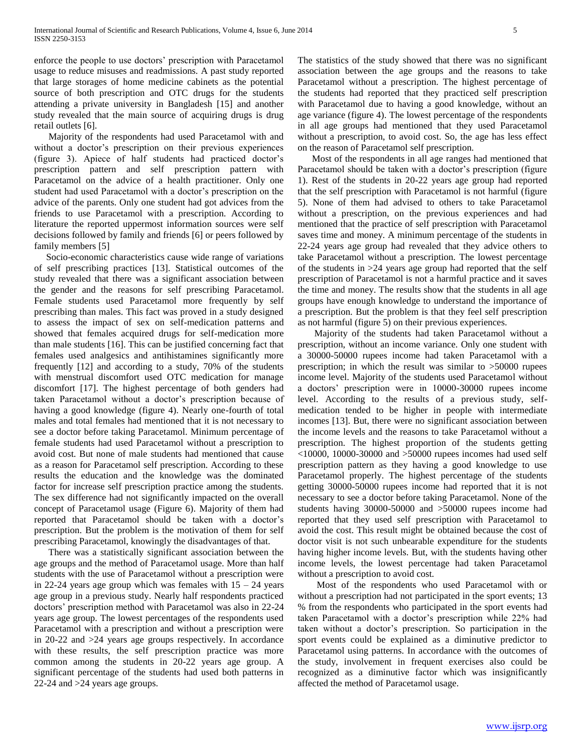enforce the people to use doctors' prescription with Paracetamol usage to reduce misuses and readmissions. A past study reported that large storages of home medicine cabinets as the potential source of both prescription and OTC drugs for the students attending a private university in Bangladesh [15] and another study revealed that the main source of acquiring drugs is drug retail outlets [6].

 Majority of the respondents had used Paracetamol with and without a doctor's prescription on their previous experiences (figure 3). Apiece of half students had practiced doctor's prescription pattern and self prescription pattern with Paracetamol on the advice of a health practitioner. Only one student had used Paracetamol with a doctor's prescription on the advice of the parents. Only one student had got advices from the friends to use Paracetamol with a prescription. According to literature the reported uppermost information sources were self decisions followed by family and friends [6] or peers followed by family members [5]

 Socio-economic characteristics cause wide range of variations of self prescribing practices [13]. Statistical outcomes of the study revealed that there was a significant association between the gender and the reasons for self prescribing Paracetamol. Female students used Paracetamol more frequently by self prescribing than males. This fact was proved in a study designed to assess the impact of sex on self-medication patterns and showed that females acquired drugs for self-medication more than male students [16]. This can be justified concerning fact that females used analgesics and antihistamines significantly more frequently [12] and according to a study, 70% of the students with menstrual discomfort used OTC medication for manage discomfort [17]. The highest percentage of both genders had taken Paracetamol without a doctor's prescription because of having a good knowledge (figure 4). Nearly one-fourth of total males and total females had mentioned that it is not necessary to see a doctor before taking Paracetamol. Minimum percentage of female students had used Paracetamol without a prescription to avoid cost. But none of male students had mentioned that cause as a reason for Paracetamol self prescription. According to these results the education and the knowledge was the dominated factor for increase self prescription practice among the students. The sex difference had not significantly impacted on the overall concept of Paracetamol usage (Figure 6). Majority of them had reported that Paracetamol should be taken with a doctor's prescription. But the problem is the motivation of them for self prescribing Paracetamol, knowingly the disadvantages of that.

 There was a statistically significant association between the age groups and the method of Paracetamol usage. More than half students with the use of Paracetamol without a prescription were in 22-24 years age group which was females with  $15 - 24$  years age group in a previous study. Nearly half respondents practiced doctors' prescription method with Paracetamol was also in 22-24 years age group. The lowest percentages of the respondents used Paracetamol with a prescription and without a prescription were in 20-22 and >24 years age groups respectively. In accordance with these results, the self prescription practice was more common among the students in 20-22 years age group. A significant percentage of the students had used both patterns in 22-24 and >24 years age groups.

The statistics of the study showed that there was no significant association between the age groups and the reasons to take Paracetamol without a prescription. The highest percentage of the students had reported that they practiced self prescription with Paracetamol due to having a good knowledge, without an age variance (figure 4). The lowest percentage of the respondents in all age groups had mentioned that they used Paracetamol without a prescription, to avoid cost. So, the age has less effect on the reason of Paracetamol self prescription.

 Most of the respondents in all age ranges had mentioned that Paracetamol should be taken with a doctor's prescription (figure 1). Rest of the students in 20-22 years age group had reported that the self prescription with Paracetamol is not harmful (figure 5). None of them had advised to others to take Paracetamol without a prescription, on the previous experiences and had mentioned that the practice of self prescription with Paracetamol saves time and money. A minimum percentage of the students in 22-24 years age group had revealed that they advice others to take Paracetamol without a prescription. The lowest percentage of the students in >24 years age group had reported that the self prescription of Paracetamol is not a harmful practice and it saves the time and money. The results show that the students in all age groups have enough knowledge to understand the importance of a prescription. But the problem is that they feel self prescription as not harmful (figure 5) on their previous experiences.

 Majority of the students had taken Paracetamol without a prescription, without an income variance. Only one student with a 30000-50000 rupees income had taken Paracetamol with a prescription; in which the result was similar to >50000 rupees income level. Majority of the students used Paracetamol without a doctors' prescription were in 10000-30000 rupees income level. According to the results of a previous study, selfmedication tended to be higher in people with intermediate incomes [13]. But, there were no significant association between the income levels and the reasons to take Paracetamol without a prescription. The highest proportion of the students getting  $\leq$ 10000, 10000-30000 and  $\geq$ 50000 rupees incomes had used self prescription pattern as they having a good knowledge to use Paracetamol properly. The highest percentage of the students getting 30000-50000 rupees income had reported that it is not necessary to see a doctor before taking Paracetamol. None of the students having 30000-50000 and >50000 rupees income had reported that they used self prescription with Paracetamol to avoid the cost. This result might be obtained because the cost of doctor visit is not such unbearable expenditure for the students having higher income levels. But, with the students having other income levels, the lowest percentage had taken Paracetamol without a prescription to avoid cost.

 Most of the respondents who used Paracetamol with or without a prescription had not participated in the sport events; 13 % from the respondents who participated in the sport events had taken Paracetamol with a doctor's prescription while 22% had taken without a doctor's prescription. So participation in the sport events could be explained as a diminutive predictor to Paracetamol using patterns. In accordance with the outcomes of the study, involvement in frequent exercises also could be recognized as a diminutive factor which was insignificantly affected the method of Paracetamol usage.